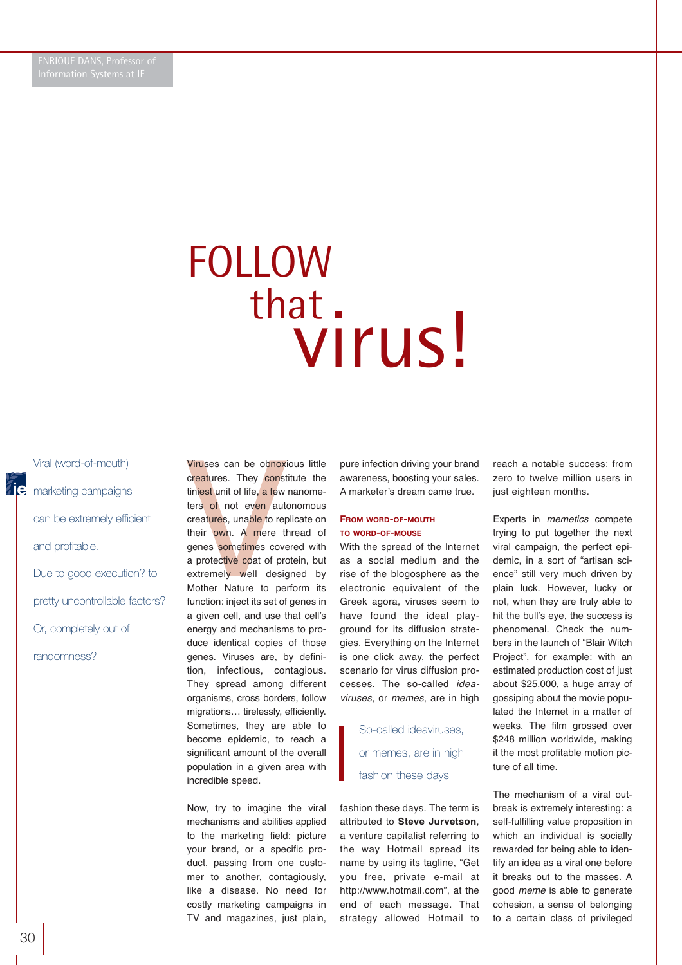## FOLLOW that.<br>
VIrus!

## Viral (word-of-mouth)

**Tie** marketing campaigns can be extremely efficient and profitable.

Due to good execution? to

pretty uncontrollable factors?

Or, completely out of

randomness?

Viruses can be obnoxic<br>creatures. They constit<br>tiniest unit of life, a few r<br>ters of not even auto<br>creatures, unable to rep<br>their own. A mere th<br>genes sometimes cove<br>a protective coat of pro<br>extremely well desig<br>Mother Nat Viruses can be obnoxious little creatures. They constitute the tiniest unit of life, a few nanometers of not even autonomous creatures, unable to replicate on their own. A mere thread of genes sometimes covered with a protective coat of protein, but extremely well designed by Mother Nature to perform its function: inject its set of genes in a given cell, and use that cell's energy and mechanisms to produce identical copies of those genes. Viruses are, by definition, infectious, contagious. They spread among different organisms, cross borders, follow migrations… tirelessly, efficiently. Sometimes, they are able to become epidemic, to reach a significant amount of the overall population in a given area with incredible speed.

Now, try to imagine the viral mechanisms and abilities applied to the marketing field: picture your brand, or a specific product, passing from one customer to another, contagiously, like a disease. No need for costly marketing campaigns in TV and magazines, just plain,

pure infection driving your brand awareness, boosting your sales. A marketer's dream came true.

## **FROM WORD-OF-MOUTH TO WORD-OF-MOUSE**

With the spread of the Internet as a social medium and the rise of the blogosphere as the electronic equivalent of the Greek agora, viruses seem to have found the ideal playground for its diffusion strategies. Everything on the Internet is one click away, the perfect scenario for virus diffusion processes. The so-called ideaviruses, or memes, are in high

> So-called ideaviruses, or memes, are in high fashion these days

fashion these days. The term is attributed to **Steve Jurvetson**, a venture capitalist referring to the way Hotmail spread its name by using its tagline, "Get you free, private e-mail at http://www.hotmail.com", at the end of each message. That strategy allowed Hotmail to

reach a notable success: from zero to twelve million users in just eighteen months.

Experts in memetics compete trying to put together the next viral campaign, the perfect epidemic, in a sort of "artisan science" still very much driven by plain luck. However, lucky or not, when they are truly able to hit the bull's eye, the success is phenomenal. Check the numbers in the launch of "Blair Witch Project", for example: with an estimated production cost of just about \$25,000, a huge array of gossiping about the movie populated the Internet in a matter of weeks. The film grossed over \$248 million worldwide, making it the most profitable motion picture of all time.

The mechanism of a viral outbreak is extremely interesting: a self-fulfilling value proposition in which an individual is socially rewarded for being able to identify an idea as a viral one before it breaks out to the masses. A good *meme* is able to generate cohesion, a sense of belonging to a certain class of privileged